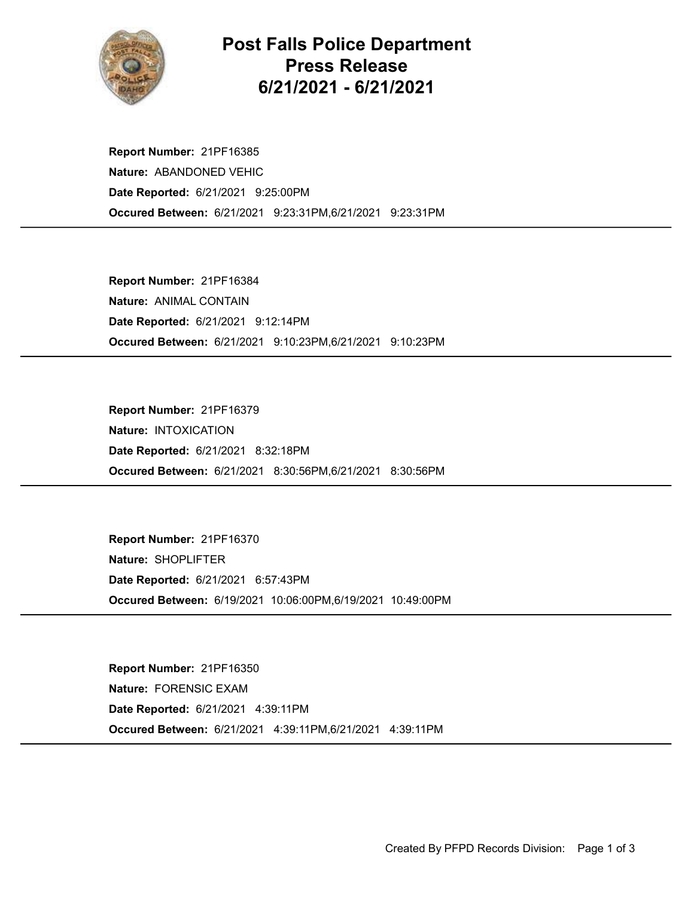

## Post Falls Police Department Press Release 6/21/2021 - 6/21/2021

Occured Between: 6/21/2021 9:23:31PM,6/21/2021 9:23:31PM Report Number: 21PF16385 Nature: ABANDONED VEHIC Date Reported: 6/21/2021 9:25:00PM

Occured Between: 6/21/2021 9:10:23PM,6/21/2021 9:10:23PM Report Number: 21PF16384 Nature: ANIMAL CONTAIN Date Reported: 6/21/2021 9:12:14PM

Occured Between: 6/21/2021 8:30:56PM,6/21/2021 8:30:56PM Report Number: 21PF16379 Nature: INTOXICATION Date Reported: 6/21/2021 8:32:18PM

Occured Between: 6/19/2021 10:06:00PM,6/19/2021 10:49:00PM Report Number: 21PF16370 Nature: SHOPLIFTER Date Reported: 6/21/2021 6:57:43PM

Occured Between: 6/21/2021 4:39:11PM,6/21/2021 4:39:11PM Report Number: 21PF16350 Nature: FORENSIC EXAM Date Reported: 6/21/2021 4:39:11PM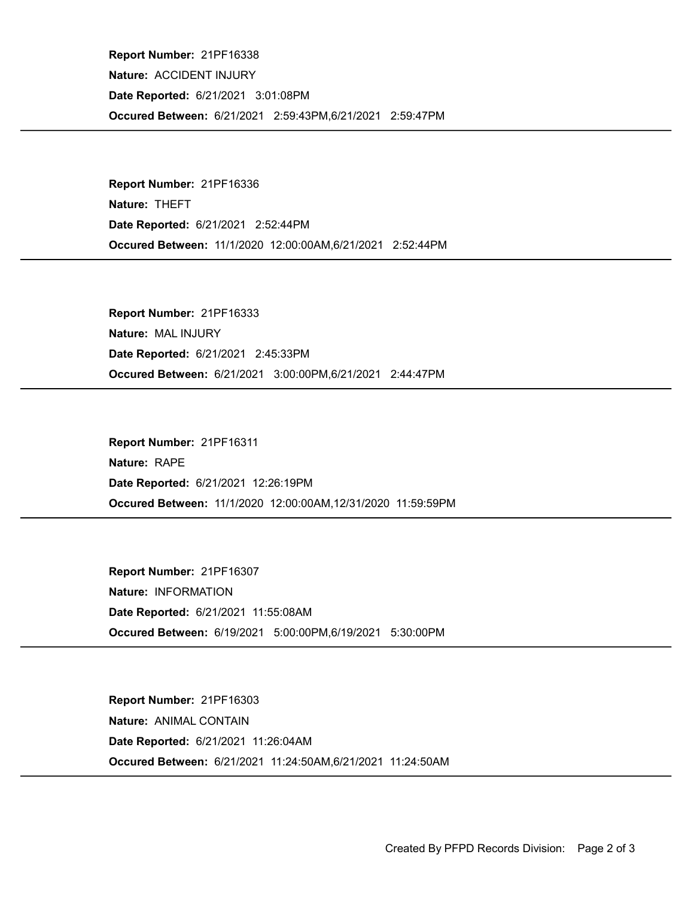Occured Between: 6/21/2021 2:59:43PM,6/21/2021 2:59:47PM Report Number: 21PF16338 Nature: ACCIDENT INJURY Date Reported: 6/21/2021 3:01:08PM

Occured Between: 11/1/2020 12:00:00AM,6/21/2021 2:52:44PM Report Number: 21PF16336 Nature: THEFT Date Reported: 6/21/2021 2:52:44PM

Occured Between: 6/21/2021 3:00:00PM,6/21/2021 2:44:47PM Report Number: 21PF16333 Nature: MAL INJURY Date Reported: 6/21/2021 2:45:33PM

Occured Between: 11/1/2020 12:00:00AM,12/31/2020 11:59:59PM Report Number: 21PF16311 Nature: RAPE Date Reported: 6/21/2021 12:26:19PM

Occured Between: 6/19/2021 5:00:00PM,6/19/2021 5:30:00PM Report Number: 21PF16307 Nature: INFORMATION Date Reported: 6/21/2021 11:55:08AM

Occured Between: 6/21/2021 11:24:50AM,6/21/2021 11:24:50AM Report Number: 21PF16303 Nature: ANIMAL CONTAIN Date Reported: 6/21/2021 11:26:04AM